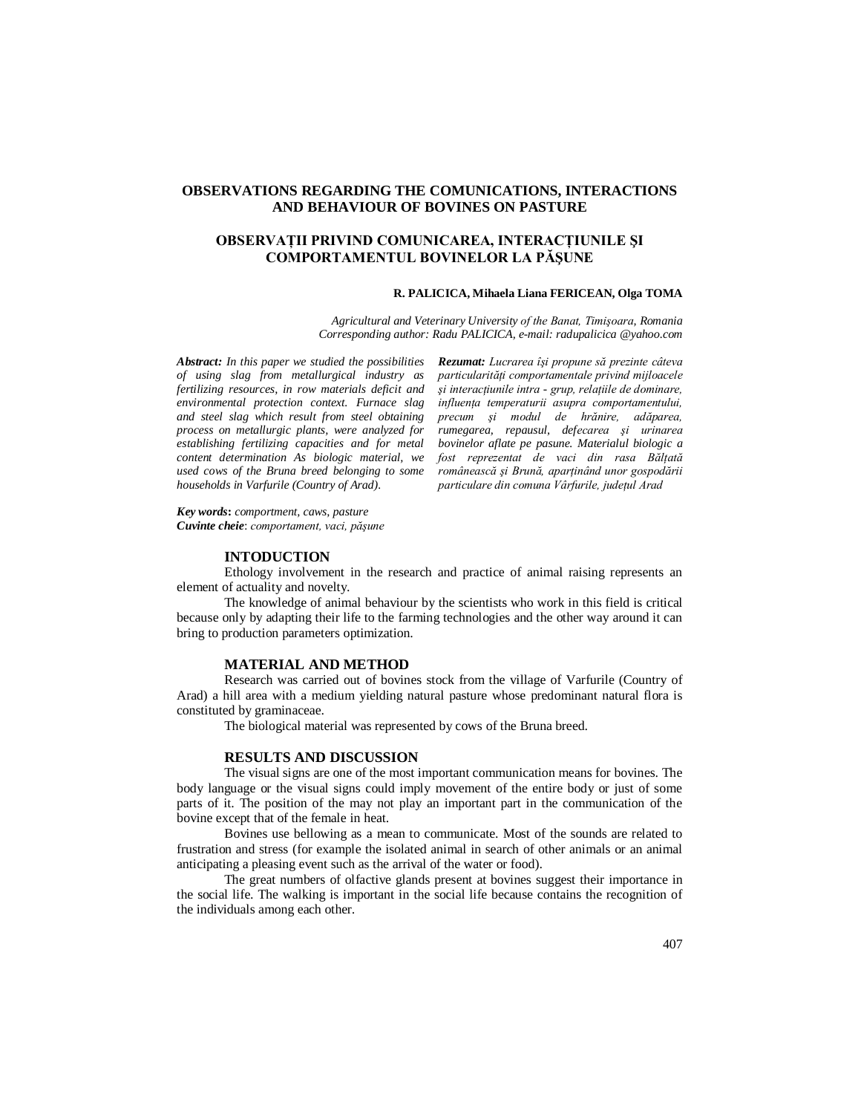# **OBSERVATIONS REGARDING THE COMUNICATIONS, INTERACTIONS AND BEHAVIOUR OF BOVINES ON PASTURE**

# **OBSERVAŢII PRIVIND COMUNICAREA, INTERACŢIUNILE ŞI COMPORTAMENTUL BOVINELOR LA PĂŞUNE**

### **R. PALICICA, Mihaela Liana FERICEAN, Olga TOMA**

*Agricultural and Veterinary University of the Banat, Timişoara, Romania Corresponding author: Radu PALICICA, e-mail: radupalicica @yahoo.com*

*Abstract: In this paper we studied the possibilities of using slag from metallurgical industry as fertilizing resources, in row materials deficit and environmental protection context. Furnace slag and steel slag which result from steel obtaining process on metallurgic plants, were analyzed for establishing fertilizing capacities and for metal content determination As biologic material, we used cows of the Bruna breed belonging to some households in Varfurile (Country of Arad).*

*Rezumat: Lucrarea îşi propune să prezinte câteva particularităţi comportamentale privind mijloacele şi interacţiunile intra - grup, relaţiile de dominare, influenţa temperaturii asupra comportamentului, precum şi modul de hrănire, adăparea, rumegarea, repausul, defecarea şi urinarea bovinelor aflate pe pasune. Materialul biologic a fost reprezentat de vaci din rasa Bălţată românească şi Brună, aparţinând unor gospodării particulare din comuna Vârfurile, judeţul Arad*

*Key words***:** *comportment, caws, pasture Cuvinte cheie*: *comportament, vaci, păşune*

### **INTODUCTION**

Ethology involvement in the research and practice of animal raising represents an element of actuality and novelty.

The knowledge of animal behaviour by the scientists who work in this field is critical because only by adapting their life to the farming technologies and the other way around it can bring to production parameters optimization.

### **MATERIAL AND METHOD**

Research was carried out of bovines stock from the village of Varfurile (Country of Arad) a hill area with a medium yielding natural pasture whose predominant natural flora is constituted by graminaceae.

The biological material was represented by cows of the Bruna breed.

# **RESULTS AND DISCUSSION**

The visual signs are one of the most important communication means for bovines. The body language or the visual signs could imply movement of the entire body or just of some parts of it. The position of the may not play an important part in the communication of the bovine except that of the female in heat.

Bovines use bellowing as a mean to communicate. Most of the sounds are related to frustration and stress (for example the isolated animal in search of other animals or an animal anticipating a pleasing event such as the arrival of the water or food).

The great numbers of olfactive glands present at bovines suggest their importance in the social life. The walking is important in the social life because contains the recognition of the individuals among each other.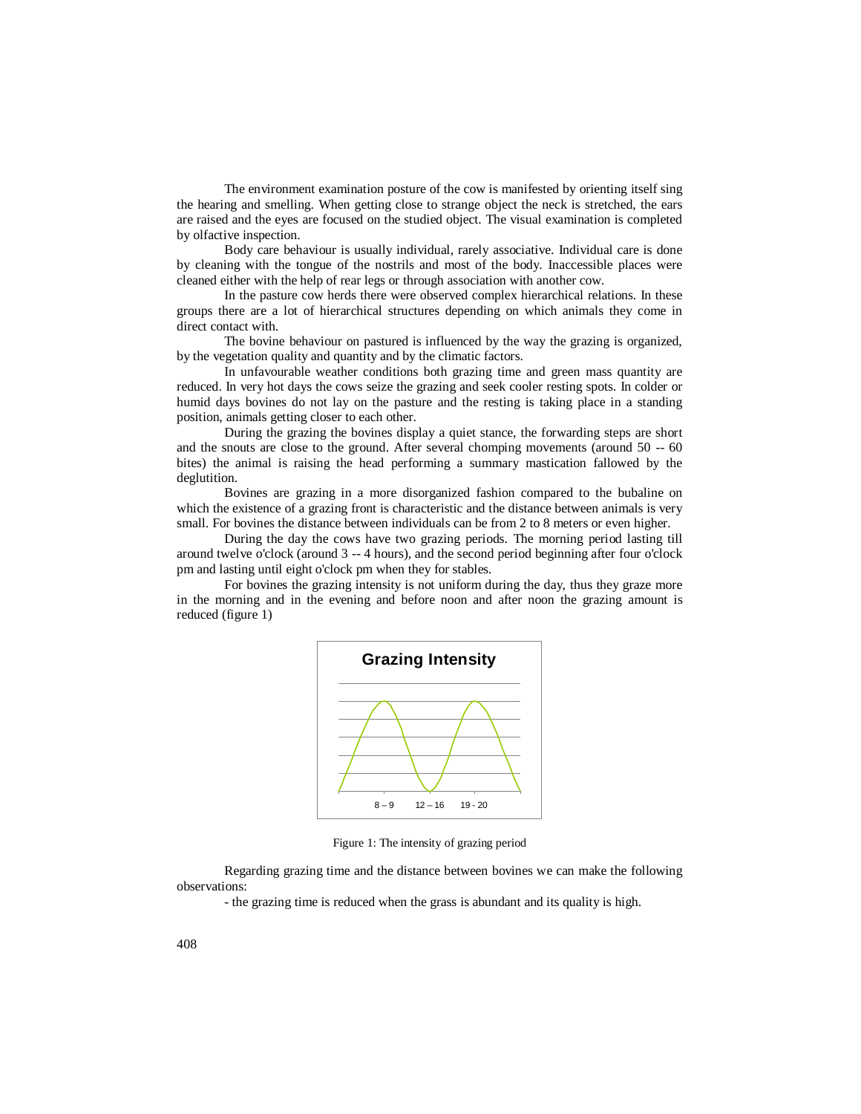The environment examination posture of the cow is manifested by orienting itself sing the hearing and smelling. When getting close to strange object the neck is stretched, the ears are raised and the eyes are focused on the studied object. The visual examination is completed by olfactive inspection.

Body care behaviour is usually individual, rarely associative. Individual care is done by cleaning with the tongue of the nostrils and most of the body. Inaccessible places were cleaned either with the help of rear legs or through association with another cow.

In the pasture cow herds there were observed complex hierarchical relations. In these groups there are a lot of hierarchical structures depending on which animals they come in direct contact with.

The bovine behaviour on pastured is influenced by the way the grazing is organized, by the vegetation quality and quantity and by the climatic factors.

In unfavourable weather conditions both grazing time and green mass quantity are reduced. In very hot days the cows seize the grazing and seek cooler resting spots. In colder or humid days bovines do not lay on the pasture and the resting is taking place in a standing position, animals getting closer to each other.

During the grazing the bovines display a quiet stance, the forwarding steps are short and the snouts are close to the ground. After several chomping movements (around 50 -- 60 bites) the animal is raising the head performing a summary mastication fallowed by the deglutition.

Bovines are grazing in a more disorganized fashion compared to the bubaline on which the existence of a grazing front is characteristic and the distance between animals is very small. For bovines the distance between individuals can be from 2 to 8 meters or even higher.

During the day the cows have two grazing periods. The morning period lasting till around twelve o'clock (around 3 -- 4 hours), and the second period beginning after four o'clock pm and lasting until eight o'clock pm when they for stables.

For bovines the grazing intensity is not uniform during the day, thus they graze more in the morning and in the evening and before noon and after noon the grazing amount is reduced (figure 1)



Figure 1: The intensity of grazing period

Regarding grazing time and the distance between bovines we can make the following observations:

- the grazing time is reduced when the grass is abundant and its quality is high.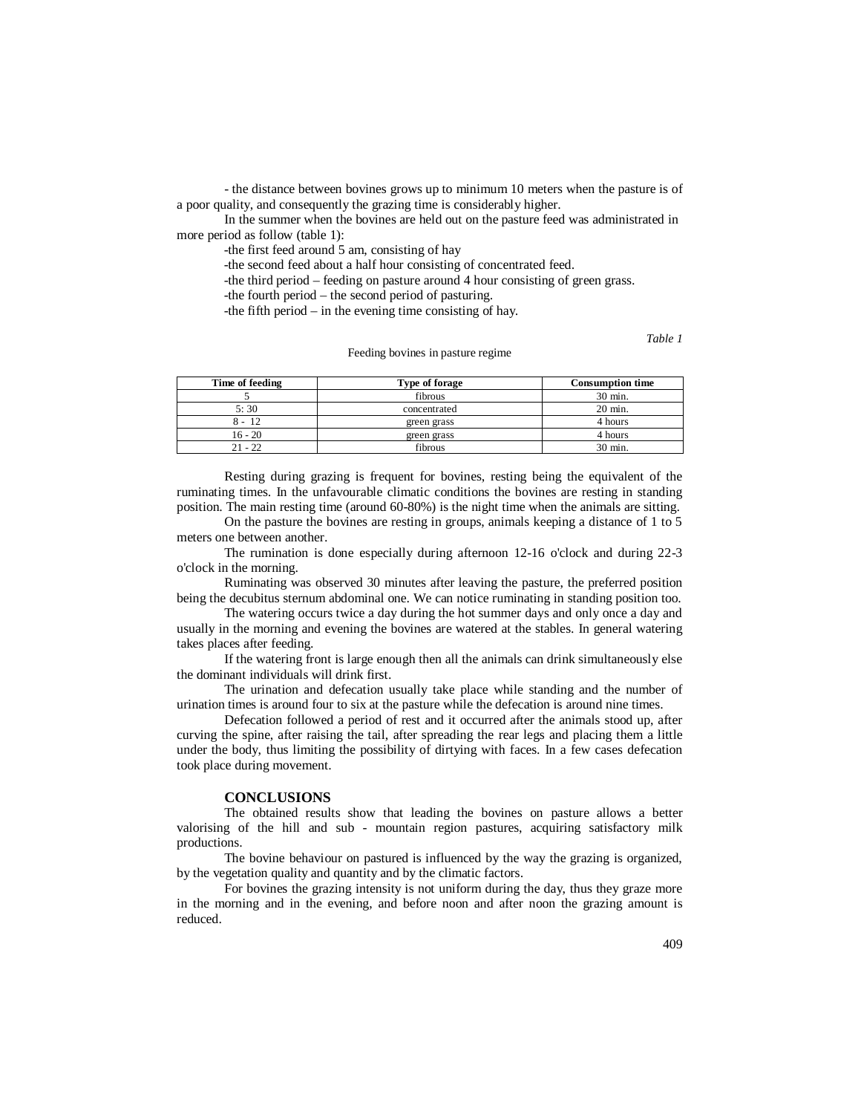- the distance between bovines grows up to minimum 10 meters when the pasture is of a poor quality, and consequently the grazing time is considerably higher.

In the summer when the bovines are held out on the pasture feed was administrated in more period as follow (table 1):

-the first feed around 5 am, consisting of hay

-the second feed about a half hour consisting of concentrated feed.

-the third period – feeding on pasture around 4 hour consisting of green grass.

-the fourth period – the second period of pasturing.

-the fifth period – in the evening time consisting of hay.

*Table 1*

#### Feeding bovines in pasture regime

| Time of feeding | Type of forage | <b>Consumption time</b> |
|-----------------|----------------|-------------------------|
|                 | fibrous        | 30 min.                 |
| 5:30            | concentrated   | $20 \text{ min.}$       |
| $8 - 12$        | green grass    | 4 hours                 |
| $16 - 20$       | green grass    | 4 hours                 |
| $21 - 22$       | fibrous        | 30 min.                 |

Resting during grazing is frequent for bovines, resting being the equivalent of the ruminating times. In the unfavourable climatic conditions the bovines are resting in standing position. The main resting time (around 60-80%) is the night time when the animals are sitting.

On the pasture the bovines are resting in groups, animals keeping a distance of 1 to 5 meters one between another.

The rumination is done especially during afternoon 12-16 o'clock and during 22-3 o'clock in the morning.

Ruminating was observed 30 minutes after leaving the pasture, the preferred position being the decubitus sternum abdominal one. We can notice ruminating in standing position too.

The watering occurs twice a day during the hot summer days and only once a day and usually in the morning and evening the bovines are watered at the stables. In general watering takes places after feeding.

If the watering front is large enough then all the animals can drink simultaneously else the dominant individuals will drink first.

The urination and defecation usually take place while standing and the number of urination times is around four to six at the pasture while the defecation is around nine times.

Defecation followed a period of rest and it occurred after the animals stood up, after curving the spine, after raising the tail, after spreading the rear legs and placing them a little under the body, thus limiting the possibility of dirtying with faces. In a few cases defecation took place during movement.

#### **CONCLUSIONS**

The obtained results show that leading the bovines on pasture allows a better valorising of the hill and sub - mountain region pastures, acquiring satisfactory milk productions.

The bovine behaviour on pastured is influenced by the way the grazing is organized, by the vegetation quality and quantity and by the climatic factors.

For bovines the grazing intensity is not uniform during the day, thus they graze more in the morning and in the evening, and before noon and after noon the grazing amount is reduced.